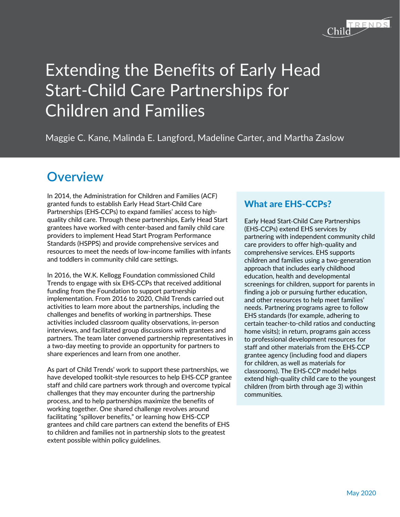

# Extending the Benefits of Early Head Start-Child Care Partnerships for Children and Families

Maggie C. Kane, Malinda E. Langford, Madeline Carter, and Martha Zaslow

## **Overview**

In 2014, the Administration for Children and Families (ACF) granted funds to establish Early Head Start-Child Care Partnerships (EHS-CCPs) to expand families' access to highquality child care. Through these partnerships, Early Head Start grantees have worked with center-based and family child care providers to implement Head Start Program Performance Standards (HSPPS) and provide comprehensive services and resources to meet the needs of low-income families with infants and toddlers in community child care settings.

In 2016, the W.K. Kellogg Foundation commissioned Child Trends to engage with six EHS-CCPs that received additional funding from the Foundation to support partnership implementation. From 2016 to 2020, Child Trends carried out activities to learn more about the partnerships, including the challenges and benefits of working in partnerships. These activities included classroom quality observations, in-person interviews, and facilitated group discussions with grantees and partners. The team later convened partnership representatives in a two-day meeting to provide an opportunity for partners to share experiences and learn from one another.

As part of Child Trends' work to support these partnerships, we have developed toolkit-style resources to help EHS-CCP grantee staff and child care partners work through and overcome typical challenges that they may encounter during the partnership process, and to help partnerships maximize the benefits of working together. One shared challenge revolves around facilitating "spillover benefits," or learning how EHS-CCP grantees and child care partners can extend the benefits of EHS to children and families not in partnership slots to the greatest extent possible within policy guidelines.

### What are EHS-CCPs?

Early Head Start-Child Care Partnerships (EHS-CCPs) extend EHS services by partnering with independent community child care providers to offer high-quality and comprehensive services. EHS supports children and families using a two-generation approach that includes early childhood education, health and developmental screenings for children, support for parents in finding a job or pursuing further education, and other resources to help meet families' needs. Partnering programs agree to follow EHS standards (for example, adhering to certain teacher-to-child ratios and conducting home visits); in return, programs gain access to professional development resources for staff and other materials from the EHS-CCP grantee agency (including food and diapers for children, as well as materials for classrooms). The EHS-CCP model helps extend high-quality child care to the youngest children (from birth through age 3) within communities.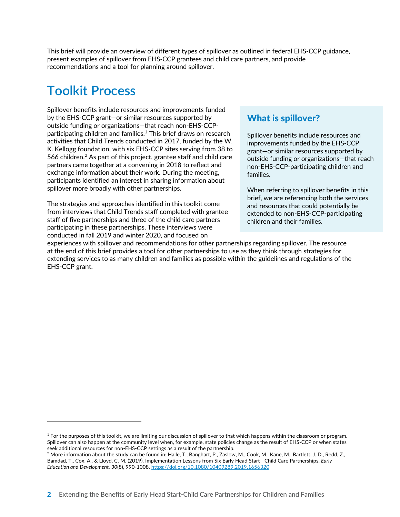This brief will provide an overview of different types of spillover as outlined in federal EHS-CCP guidance, present examples of spillover from EHS-CCP grantees and child care partners, and provide recommendations and a tool for planning around spillover.

# **Toolkit Process**

Spillover benefits include resources and improvements funded by the EHS-CCP grant—or similar resources supported by outside funding or organizations—that reach non-EHS-CCPparticipating children and families. $1$  This brief draws on research activities that Child Trends conducted in 2017, funded by the W. K. Kellogg foundation, with six EHS-CCP sites serving from 38 to 566 children.<sup>2</sup> As part of this project, grantee staff and child care partners came together at a convening in 2018 to reflect and exchange information about their work. During the meeting, participants identified an interest in sharing information about spillover more broadly with other partnerships.

The strategies and approaches identified in this toolkit come from interviews that Child Trends staff completed with grantee staff of five partnerships and three of the child care partners participating in these partnerships. These interviews were conducted in fall 2019 and winter 2020, and focused on

#### What is spillover?

Spillover benefits include resources and improvements funded by the EHS-CCP grant—or similar resources supported by outside funding or organizations—that reach non-EHS-CCP-participating children and families.

When referring to spillover benefits in this brief, we are referencing both the services and resources that could potentially be extended to non-EHS-CCP-participating children and their families.

experiences with spillover and recommendations for other partnerships regarding spillover. The resource at the end of this brief provides a tool for other partnerships to use as they think through strategies for extending services to as many children and families as possible within the guidelines and regulations of the EHS-CCP grant.

 $1$  For the purposes of this toolkit, we are limiting our discussion of spillover to that which happens within the classroom or program. Spillover can also happen at the community level when, for example, state policies change as the result of EHS-CCP or when states

seek additional resources for non-EHS-CCP settings as a result of the partnership.<br><sup>2</sup> More information about the study can be found in: Halle, T., Banghart, P., Zaslow, M., Cook, M., Kane, M., Bartlett, J. D., Redd, Z., Bamdad, T., Cox, A., & Lloyd, C. M. (2019). Implementation Lessons from Six Early Head Start - Child Care Partnerships. *Early Education and Development, 30*(8), 990-1008. https://doi.org/10.1080/10409289.2019.1656320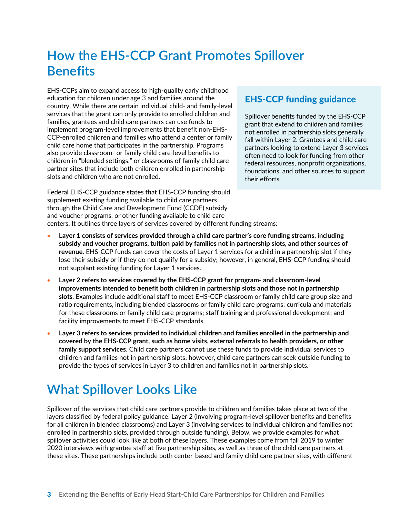# **How the EHS-CCP Grant Promotes Spillover Benefits**

EHS-CCPs aim to expand access to high-quality early childhood education for children under age 3 and families around the country. While there are certain individual child- and family-level services that the grant can only provide to enrolled children and families, grantees and child care partners can use funds to implement program-level improvements that benefit non-EHS-CCP-enrolled children and families who attend a center or family child care home that participates in the partnership. Programs also provide classroom- or family child care-level benefits to children in "blended settings," or classrooms of family child care partner sites that include both children enrolled in partnership slots and children who are not enrolled.

Federal EHS-CCP guidance states that EHS-CCP funding should supplement existing funding available to child care partners through the Child Care and Development Fund (CCDF) subsidy and voucher programs, or other funding available to child care

#### EHS-CCP funding guidance

Spillover benefits funded by the EHS-CCP grant that extend to children and families not enrolled in partnership slots generally fall within Layer 2. Grantees and child care partners looking to extend Layer 3 services often need to look for funding from other federal resources, nonprofit organizations, foundations, and other sources to support their efforts.

centers. It outlines three layers of services covered by different funding streams:

- **Layer 1 consists of services provided through a child care partner's core funding streams, including subsidy and voucher programs, tuition paid by families not in partnership slots, and other sources of revenue**. EHS-CCP funds can cover the costs of Layer 1 services for a child in a partnership slot if they lose their subsidy or if they do not qualify for a subsidy; however, in general, EHS-CCP funding should not supplant existing funding for Layer 1 services.
- **Layer 2 refers to services covered by the EHS-CCP grant for program- and classroom-level improvements intended to benefit both children in partnership slots and those not in partnership slots**. Examples include additional staff to meet EHS-CCP classroom or family child care group size and ratio requirements, including blended classrooms or family child care programs; curricula and materials for these classrooms or family child care programs; staff training and professional development; and facility improvements to meet EHS-CCP standards.
- **Layer 3 refers to services provided to individual children and families enrolled in the partnership and covered by the EHS-CCP grant, such as home visits, external referrals to health providers, or other family support services**. Child care partners cannot use these funds to provide individual services to children and families not in partnership slots; however, child care partners can seek outside funding to provide the types of services in Layer 3 to children and families not in partnership slots.

# **What Spillover Looks Like**

Spillover of the services that child care partners provide to children and families takes place at two of the layers classified by federal policy guidance: Layer 2 (involving program-level spillover benefits and benefits for all children in blended classrooms) and Layer 3 (involving services to individual children and families not enrolled in partnership slots, provided through outside funding). Below, we provide examples for what spillover activities could look like at both of these layers. These examples come from fall 2019 to winter 2020 interviews with grantee staff at five partnership sites, as well as three of the child care partners at these sites. These partnerships include both center-based and family child care partner sites, with different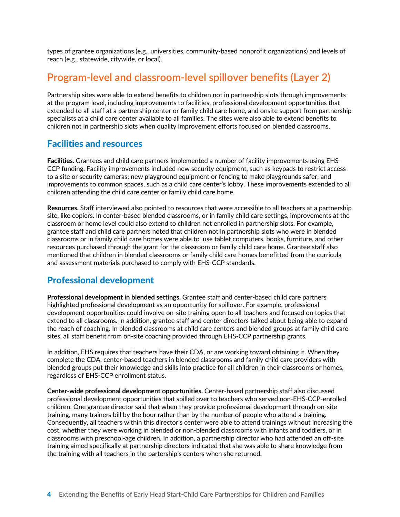types of grantee organizations (e.g., universities, community-based nonprofit organizations) and levels of reach (e.g., statewide, citywide, or local).

### **Program-level and classroom-level spillover benefits (Layer 2)**

Partnership sites were able to extend benefits to children not in partnership slots through improvements at the program level, including improvements to facilities, professional development opportunities that extended to all staff at a partnership center or family child care home, and onsite support from partnership specialists at a child care center available to all families. The sites were also able to extend benefits to children not in partnership slots when quality improvement efforts focused on blended classrooms.

#### Facilities and resources

**Facilities.** Grantees and child care partners implemented a number of facility improvements using EHS-CCP funding. Facility improvements included new security equipment, such as keypads to restrict access to a site or security cameras; new playground equipment or fencing to make playgrounds safer; and improvements to common spaces, such as a child care center's lobby. These improvements extended to all children attending the child care center or family child care home.

**Resources.** Staff interviewed also pointed to resources that were accessible to all teachers at a partnership site, like copiers. In center-based blended classrooms, or in family child care settings, improvements at the classroom or home level could also extend to children not enrolled in partnership slots. For example, grantee staff and child care partners noted that children not in partnership slots who were in blended classrooms or in family child care homes were able to use tablet computers, books, furniture, and other resources purchased through the grant for the classroom or family child care home. Grantee staff also mentioned that children in blended classrooms or family child care homes benefitted from the curricula and assessment materials purchased to comply with EHS-CCP standards.

#### Professional development

**Professional development in blended settings.** Grantee staff and center-based child care partners highlighted professional development as an opportunity for spillover. For example, professional development opportunities could involve on-site training open to all teachers and focused on topics that extend to all classrooms. In addition, grantee staff and center directors talked about being able to expand the reach of coaching. In blended classrooms at child care centers and blended groups at family child care sites, all staff benefit from on-site coaching provided through EHS-CCP partnership grants.

In addition, EHS requires that teachers have their CDA, or are working toward obtaining it. When they complete the CDA, center-based teachers in blended classrooms and family child care providers with blended groups put their knowledge and skills into practice for all children in their classrooms or homes, regardless of EHS-CCP enrollment status.

**Center-wide professional development opportunities.** Center-based partnership staff also discussed professional development opportunities that spilled over to teachers who served non-EHS-CCP-enrolled children. One grantee director said that when they provide professional development through on-site training, many trainers bill by the hour rather than by the number of people who attend a training. Consequently, all teachers within this director's center were able to attend trainings without increasing the cost, whether they were working in blended or non-blended classrooms with infants and toddlers, or in classrooms with preschool-age children. In addition, a partnership director who had attended an off-site training aimed specifically at partnership directors indicated that she was able to share knowledge from the training with all teachers in the partership's centers when she returned.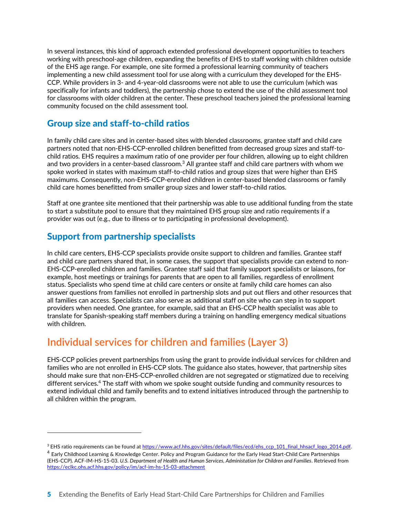In several instances, this kind of approach extended professional development opportunities to teachers working with preschool-age children, expanding the benefits of EHS to staff working with children outside of the EHS age range. For example, one site formed a professional learning community of teachers implementing a new child assessment tool for use along with a curriculum they developed for the EHS-CCP. While providers in 3- and 4-year-old classrooms were not able to use the curriculum (which was specifically for infants and toddlers), the partnership chose to extend the use of the child assessment tool for classrooms with older children at the center. These preschool teachers joined the professional learning community focused on the child assessment tool.

### Group size and staff-to-child ratios

In family child care sites and in center-based sites with blended classrooms, grantee staff and child care partners noted that non-EHS-CCP-enrolled children benefitted from decreased group sizes and staff-tochild ratios. EHS requires a maximum ratio of one provider per four children, allowing up to eight children and two providers in a center-based classroom.<sup>3</sup> All grantee staff and child care partners with whom we spoke worked in states with maximum staff-to-child ratios and group sizes that were higher than EHS maximums. Consequently, non-EHS-CCP-enrolled children in center-based blended classrooms or family child care homes benefitted from smaller group sizes and lower staff-to-child ratios.

Staff at one grantee site mentioned that their partnership was able to use additional funding from the state to start a substitute pool to ensure that they maintained EHS group size and ratio requirements if a provider was out (e.g., due to illness or to participating in professional development).

### Support from partnership specialists

In child care centers, EHS-CCP specialists provide onsite support to children and families. Grantee staff and child care partners shared that, in some cases, the support that specialists provide can extend to non-EHS-CCP-enrolled children and families. Grantee staff said that family support specialists or laiasons, for example, host meetings or trainings for parents that are open to all families, regardless of enrollment status. Specialists who spend time at child care centers or onsite at family child care homes can also answer questions from families not enrolled in partnership slots and put out fliers and other resources that all families can access. Specialists can also serve as additional staff on site who can step in to support providers when needed. One grantee, for example, said that an EHS-CCP health specialist was able to translate for Spanish-speaking staff members during a training on handling emergency medical situations with children.

### **Individual services for children and families (Layer 3)**

EHS-CCP policies prevent partnerships from using the grant to provide individual services for children and families who are not enrolled in EHS-CCP slots. The guidance also states, however, that partnership sites should make sure that non-EHS-CCP-enrolled children are not segregated or stigmatized due to receiving different services.4 The staff with whom we spoke sought outside funding and community resources to extend individual child and family benefits and to extend initiatives introduced through the partnership to all children within the program.

<sup>&</sup>lt;sup>3</sup> EHS ratio requirements can be found at https://www.acf.hhs.gov/sites/default/files/ecd/ehs\_ccp\_101\_final\_hhsacf\_logo\_2014.pdf.

<sup>&</sup>lt;sup>4</sup> Early Childhood Learning & Knowledge Center. Policy and Program Guidance for the Early Head Start-Child Care Partnerships (EHS-CCP). ACF-IM-HS-15-03. *U.S. Department of Health and Human Services, Administation for Children and Families*. Retrieved from https://eclkc.ohs.acf.hhs.gov/policy/im/acf-im-hs-15-03-attachment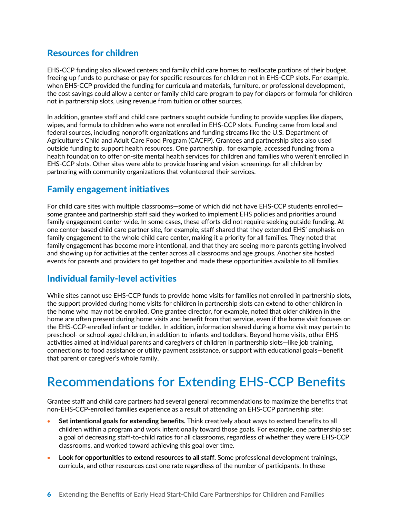### Resources for children

EHS-CCP funding also allowed centers and family child care homes to reallocate portions of their budget, freeing up funds to purchase or pay for specific resources for children not in EHS-CCP slots. For example, when EHS-CCP provided the funding for curricula and materials, furniture, or professional development, the cost savings could allow a center or family child care program to pay for diapers or formula for children not in partnership slots, using revenue from tuition or other sources.

In addition, grantee staff and child care partners sought outside funding to provide supplies like diapers, wipes, and formula to children who were not enrolled in EHS-CCP slots. Funding came from local and federal sources, including nonprofit organizations and funding streams like the U.S. Department of Agriculture's Child and Adult Care Food Program (CACFP). Grantees and partnership sites also used outside funding to support health resources. One partnership, for example, accessed funding from a health foundation to offer on-site mental health services for children and families who weren't enrolled in EHS-CCP slots. Other sites were able to provide hearing and vision screenings for all children by partnering with community organizations that volunteered their services.

#### Family engagement initiatives

For child care sites with multiple classrooms—some of which did not have EHS-CCP students enrolled some grantee and partnership staff said they worked to implement EHS policies and priorities around family engagement center-wide. In some cases, these efforts did not require seeking outside funding. At one center-based child care partner site, for example, staff shared that they extended EHS' emphasis on family engagement to the whole child care center, making it a priority for all families. They noted that family engagement has become more intentional, and that they are seeing more parents getting involved and showing up for activities at the center across all classrooms and age groups. Another site hosted events for parents and providers to get together and made these opportunities available to all families.

#### Individual family-level activities

While sites cannot use EHS-CCP funds to provide home visits for families not enrolled in partnership slots, the support provided during home visits for children in partnership slots can extend to other children in the home who may not be enrolled. One grantee director, for example, noted that older children in the home are often present during home visits and benefit from that service, even if the home visit focuses on the EHS-CCP-enrolled infant or toddler. In addition, information shared during a home visit may pertain to preschool- or school-aged children, in addition to infants and toddlers. Beyond home visits, other EHS activities aimed at individual parents and caregivers of children in partnership slots—like job training, connections to food assistance or utility payment assistance, or support with educational goals—benefit that parent or caregiver's whole family.

# **Recommendations for Extending EHS-CCP Benefits**

Grantee staff and child care partners had several general recommendations to maximize the benefits that non-EHS-CCP-enrolled families experience as a result of attending an EHS-CCP partnership site:

- **Set intentional goals for extending benefits.** Think creatively about ways to extend benefits to all children within a program and work intentionally toward those goals. For example, one partnership set a goal of decreasing staff-to-child ratios for all classrooms, regardless of whether they were EHS-CCP classrooms, and worked toward achieving this goal over time.
- **Look for opportunities to extend resources to all staff.** Some professional development trainings, curricula, and other resources cost one rate regardless of the number of participants. In these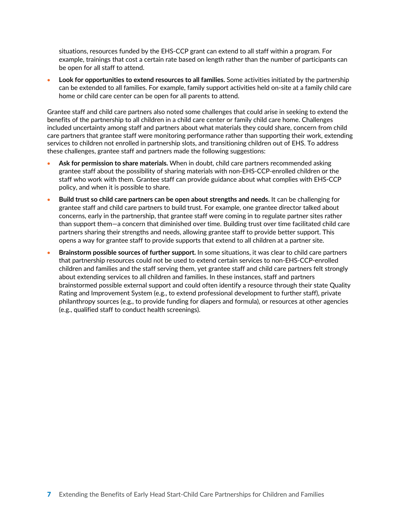situations, resources funded by the EHS-CCP grant can extend to all staff within a program. For example, trainings that cost a certain rate based on length rather than the number of participants can be open for all staff to attend.

• **Look for opportunities to extend resources to all families.** Some activities initiated by the partnership can be extended to all families. For example, family support activities held on-site at a family child care home or child care center can be open for all parents to attend.

Grantee staff and child care partners also noted some challenges that could arise in seeking to extend the benefits of the partnership to all children in a child care center or family child care home. Challenges included uncertainty among staff and partners about what materials they could share, concern from child care partners that grantee staff were monitoring performance rather than supporting their work, extending services to children not enrolled in partnership slots, and transitioning children out of EHS. To address these challenges, grantee staff and partners made the following suggestions:

- **Ask for permission to share materials.** When in doubt, child care partners recommended asking grantee staff about the possibility of sharing materials with non-EHS-CCP-enrolled children or the staff who work with them. Grantee staff can provide guidance about what complies with EHS-CCP policy, and when it is possible to share.
- **Build trust so child care partners can be open about strengths and needs.** It can be challenging for grantee staff and child care partners to build trust. For example, one grantee director talked about concerns, early in the partnership, that grantee staff were coming in to regulate partner sites rather than support them—a concern that diminished over time. Building trust over time facilitated child care partners sharing their strengths and needs, allowing grantee staff to provide better support. This opens a way for grantee staff to provide supports that extend to all children at a partner site.
- **Brainstorm possible sources of further support.** In some situations, it was clear to child care partners that partnership resources could not be used to extend certain services to non-EHS-CCP-enrolled children and families and the staff serving them, yet grantee staff and child care partners felt strongly about extending services to all children and families. In these instances, staff and partners brainstormed possible external support and could often identify a resource through their state Quality Rating and Improvement System (e.g., to extend professional development to further staff), private philanthropy sources (e.g., to provide funding for diapers and formula), or resources at other agencies (e.g., qualified staff to conduct health screenings).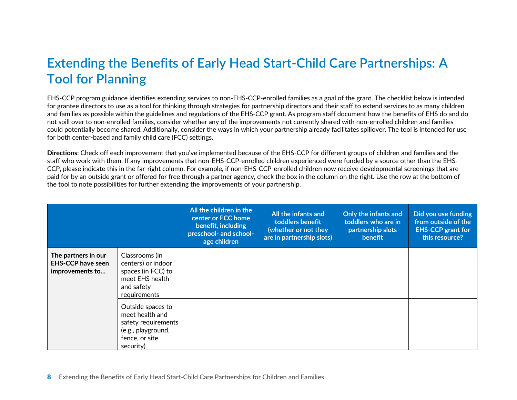# **Extending the Benefits of Early Head Start-Child Care Partnerships: A Tool for Planning**

EHS-CCP program guidance identifies extending services to non-EHS-CCP-enrolled families as a goal of the grant. The checklist below is intended for grantee directors to use as a tool for thinking through strategies for partnership directors and their staff to extend services to as many children and families as possible within the guidelines and regulations of the EHS-CCP grant. As program staff document how the benefits of EHS do and do not spill over to non-enrolled families, consider whether any of the improvements not currently shared with non-enrolled children and families could potentially become shared. Additionally, consider the ways in which your partnership already facilitates spillover. The tool is intended for use for both center-based and family child care (FCC) settings.

**Directions**: Check off each improvement that you've implemented because of the EHS-CCP for different groups of children and families and the staff who work with them. If any improvements that non-EHS-CCP-enrolled children experienced were funded by a source other than the EHS-CCP, please indicate this in the far-right column. For example, if non-EHS-CCP-enrolled children now receive developmental screenings that are paid for by an outside grant or offered for free through a partner agency, check the box in the column on the right. Use the row at the bottom of the tool to note possibilities for further extending the improvements of your partnership.

|                                                                    |                                                                                                                  | All the children in the<br>center or FCC home<br>benefit, including<br>preschool- and school-<br>age children | All the infants and<br>toddlers benefit<br>(whether or not they<br>are in partnership slots) | Only the infants and<br>toddlers who are in<br>partnership slots<br>benefit | Did you use funding<br>from outside of the<br><b>EHS-CCP</b> grant for<br>this resource? |
|--------------------------------------------------------------------|------------------------------------------------------------------------------------------------------------------|---------------------------------------------------------------------------------------------------------------|----------------------------------------------------------------------------------------------|-----------------------------------------------------------------------------|------------------------------------------------------------------------------------------|
| The partners in our<br><b>EHS-CCP have seen</b><br>improvements to | Classrooms (in<br>centers) or indoor<br>spaces (in FCC) to<br>meet EHS health<br>and safety<br>requirements      |                                                                                                               |                                                                                              |                                                                             |                                                                                          |
|                                                                    | Outside spaces to<br>meet health and<br>safety requirements<br>(e.g., playground,<br>fence, or site<br>security) |                                                                                                               |                                                                                              |                                                                             |                                                                                          |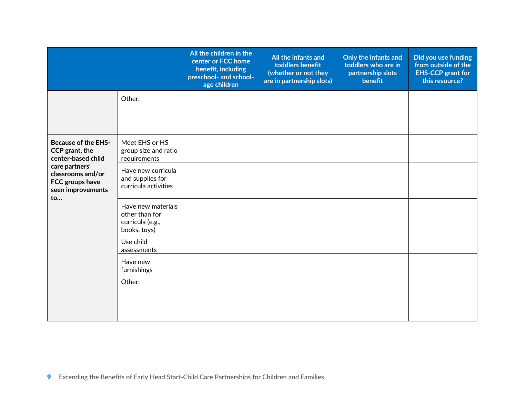|                                                                                                                                                                    |                                                                          | All the children in the<br>center or FCC home<br>benefit, including<br>preschool- and school-<br>age children | All the infants and<br>toddlers benefit<br>(whether or not they<br>are in partnership slots) | Only the infants and<br>toddlers who are in<br>partnership slots<br>benefit | Did you use funding<br>from outside of the<br><b>EHS-CCP</b> grant for<br>this resource? |
|--------------------------------------------------------------------------------------------------------------------------------------------------------------------|--------------------------------------------------------------------------|---------------------------------------------------------------------------------------------------------------|----------------------------------------------------------------------------------------------|-----------------------------------------------------------------------------|------------------------------------------------------------------------------------------|
|                                                                                                                                                                    | Other:                                                                   |                                                                                                               |                                                                                              |                                                                             |                                                                                          |
| <b>Because of the EHS-</b><br>CCP grant, the<br>center-based child<br>care partners'<br>classrooms and/or<br>FCC groups have<br>seen improvements<br>$\mathsf{to}$ | Meet EHS or HS<br>group size and ratio<br>requirements                   |                                                                                                               |                                                                                              |                                                                             |                                                                                          |
|                                                                                                                                                                    | Have new curricula<br>and supplies for<br>curricula activities           |                                                                                                               |                                                                                              |                                                                             |                                                                                          |
|                                                                                                                                                                    | Have new materials<br>other than for<br>curricula (e.g.,<br>books, toys) |                                                                                                               |                                                                                              |                                                                             |                                                                                          |
|                                                                                                                                                                    | Use child<br>assessments                                                 |                                                                                                               |                                                                                              |                                                                             |                                                                                          |
|                                                                                                                                                                    | Have new<br>furnishings                                                  |                                                                                                               |                                                                                              |                                                                             |                                                                                          |
|                                                                                                                                                                    | Other:                                                                   |                                                                                                               |                                                                                              |                                                                             |                                                                                          |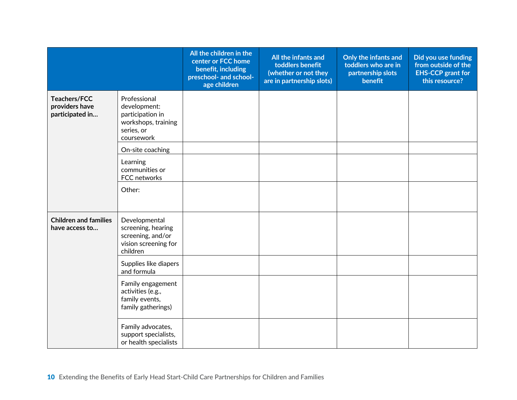|                                                   |                                                                                                     | All the children in the<br>center or FCC home<br>benefit, including<br>preschool- and school-<br>age children | All the infants and<br>toddlers benefit<br>(whether or not they<br>are in partnership slots) | Only the infants and<br>toddlers who are in<br>partnership slots<br>benefit | Did you use funding<br>from outside of the<br><b>EHS-CCP</b> grant for<br>this resource? |
|---------------------------------------------------|-----------------------------------------------------------------------------------------------------|---------------------------------------------------------------------------------------------------------------|----------------------------------------------------------------------------------------------|-----------------------------------------------------------------------------|------------------------------------------------------------------------------------------|
| Teachers/FCC<br>providers have<br>participated in | Professional<br>development:<br>participation in<br>workshops, training<br>series, or<br>coursework |                                                                                                               |                                                                                              |                                                                             |                                                                                          |
|                                                   | On-site coaching                                                                                    |                                                                                                               |                                                                                              |                                                                             |                                                                                          |
|                                                   | Learning<br>communities or<br>FCC networks                                                          |                                                                                                               |                                                                                              |                                                                             |                                                                                          |
|                                                   | Other:                                                                                              |                                                                                                               |                                                                                              |                                                                             |                                                                                          |
| <b>Children and families</b><br>have access to    | Developmental<br>screening, hearing<br>screening, and/or<br>vision screening for<br>children        |                                                                                                               |                                                                                              |                                                                             |                                                                                          |
|                                                   | Supplies like diapers<br>and formula                                                                |                                                                                                               |                                                                                              |                                                                             |                                                                                          |
|                                                   | Family engagement<br>activities (e.g.,<br>family events,<br>family gatherings)                      |                                                                                                               |                                                                                              |                                                                             |                                                                                          |
|                                                   | Family advocates,<br>support specialists,<br>or health specialists                                  |                                                                                                               |                                                                                              |                                                                             |                                                                                          |